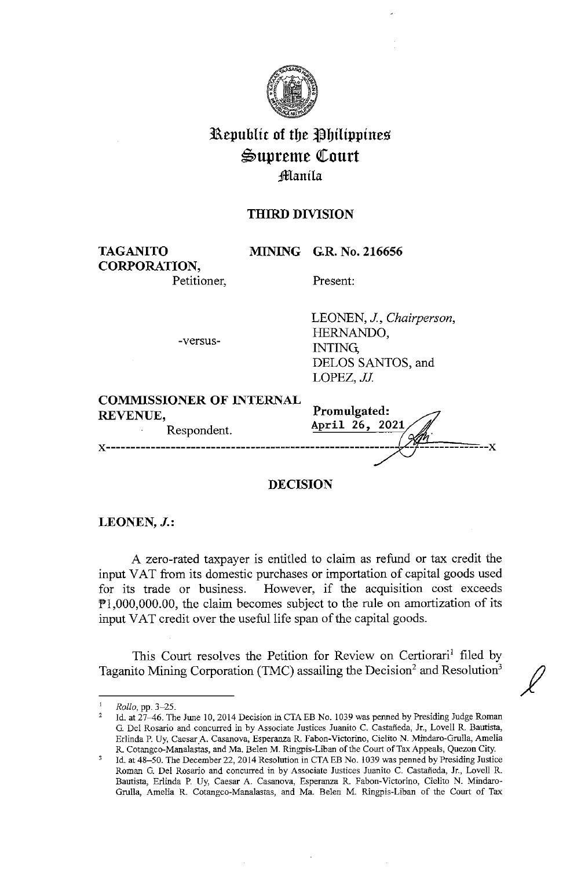

# **31,\,epublit of tbe tlbilippines**   $\mathfrak{S}$ upreme Court **:fflanila**

## **THIRD DIVISION**

**TAGANITO CORPORATION,**  **MINING G.R. No. 216656** 

Petitioner,

Present:

-versus-

LEONEN, J, *Chairperson,*  HERNANDO, INTING; DELOS SANTOS, and LOPEZ, JJ

**COMMISSIONER OF INTERNAL** 

REVENUE,<br>Respondent. **April 26, 2021 Promulgated:** x------------------------------------------------------~ -~----------x

**DECISION** 

**LEONEN, J.:** 

A zero-rated taxpayer is entitled to claim as refund or tax credit the input VAT from its domestic purchases or importation of capital goods used for its trade or business. However, if the acquisition cost exceeds Pl,000,000.00, the claim becomes subject to the rule on amortization of its input VAT credit over the useful life span of the capital goods.

This Court resolves the Petition for Review on Certiorari<sup>1</sup> filed by Taganito Mining Corporation (TMC) assailing the Decision<sup>2</sup> and Resolution<sup>3</sup>

 $\mathbf{1}$ *Rollo,* pp. 3-25.

<sup>2</sup>  Id. at 27-46. The June 10, 2014 Decision in CTA EB No. 1039 was penned by Presiding Judge Roman G. Del Rosario and concurred in by Associate Justices Juanita C. Castaneda, Jr., Lovell R. Bautista, Erlinda P. Uy, Caesar A. Casanova, Esperanza R. Fabon-Victorino, Cielito N. Mindaro-Grulla, Amelia R. Cotangco-Manalastas, and Ma. Belen M. Ringpis-Liban of the Court of Tax Appeals, Quezon City.

Id. at 48-50. The December 22, 2014 Resolution in CTAEB No. 1039 was penned by Presiding Justice Roman G. Del Rosario and concurred in by Associate Justices Juanita C. Castaneda, Jr., Lovell R. Bautista, Erlinda P. Uy, Caesar A. Casanova, Esperanza R. Pabon-Victorino, Cielito N. Mindaro-Grulla, Amelia R. Cotangco-Manalastas, and Ma. Belen M. Ringpis-Liban of the Court of Tax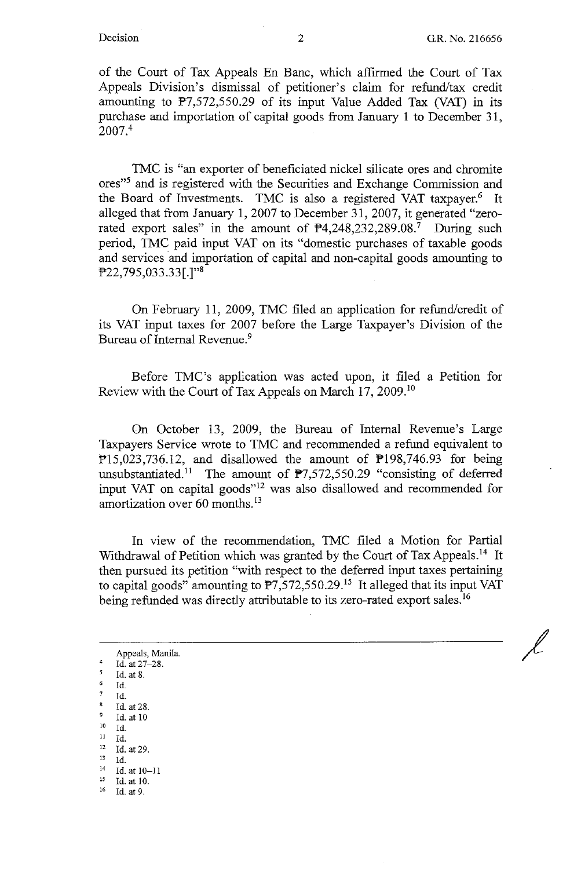of the Court of Tax Appeals En Banc, which affirmed the Court of Tax Appeals Division's dismissal of petitioner's claim for refund/tax credit amounting to  $P7,572,550.29$  of its input Value Added Tax (VAT) in its purchase and importation of capital goods from January 1 to December 31, 2007.<sup>4</sup>

TMC is "an exporter of beneficiated nickel silicate ores and chromite ores<sup>35</sup> and is registered with the Securities and Exchange Commission and the Board of Investments. TMC is also a registered VAT taxpayer.<sup>6</sup> It alleged that from January 1, 2007 to December 31, 2007, it generated "zerorated export sales" in the amount of  $\mathbb{P}4,248,232,289.08$ .<sup>7</sup> During such period, TMC paid input VAT on its "domestic purchases of taxable goods and services and importation of capital and non-capital goods amounting to  $P22,795,033.33$ [.]"<sup>8</sup>

On February 11, 2009, TMC filed an application for refund/credit of its VAT input taxes for 2007 before the Large Taxpayer's Division of the Bureau of Internal Revenue.<sup>9</sup>

Before TMC's application was acted upon, it filed a Petition for Review with the Court of Tax Appeals on March 17, 2009.<sup>10</sup>

On October 13, 2009, the Bureau of Internal Revenue's Large Taxpayers Service wrote to TMC and recommended a refund equivalent to  $P15,023,736.12$ , and disallowed the amount of  $P198,746.93$  for being unsubstantiated.<sup>11</sup> The amount of  $\mathbb{P}7,572,550.29$  "consisting of deferred input VAT on capital goods"12 was also disallowed and recommended for amortization over 60 months.<sup>13</sup>

In view of the recommendation, TMC filed a Motion for Partial Withdrawal of Petition which was granted by the Court of Tax Appeals.<sup>14</sup> It then pursued its petition "with respect to the deferred input taxes pertaining to capital goods" amounting to  $\overline{P7}$ , 572, 550.29.<sup>15</sup> It alleged that its input VAT being refunded was directly attributable to its zero-rated export sales.<sup>16</sup>

Appeals, Manila.  $\frac{4}{5}$  Id. at 27-28.  $\frac{5}{6}$  Id. at 8. Id.  $\frac{7}{8}$  Id.

 $\frac{8}{9}$  Id. at 28. <sup>9</sup>Id. at 10

- 
- io Id.
- $\frac{11}{12}$  Id. at 29.
- 
- $\frac{13}{14}$  **1d.** Id. at 10-11
- 15 Id.at 10.
- 16 Id. at 9.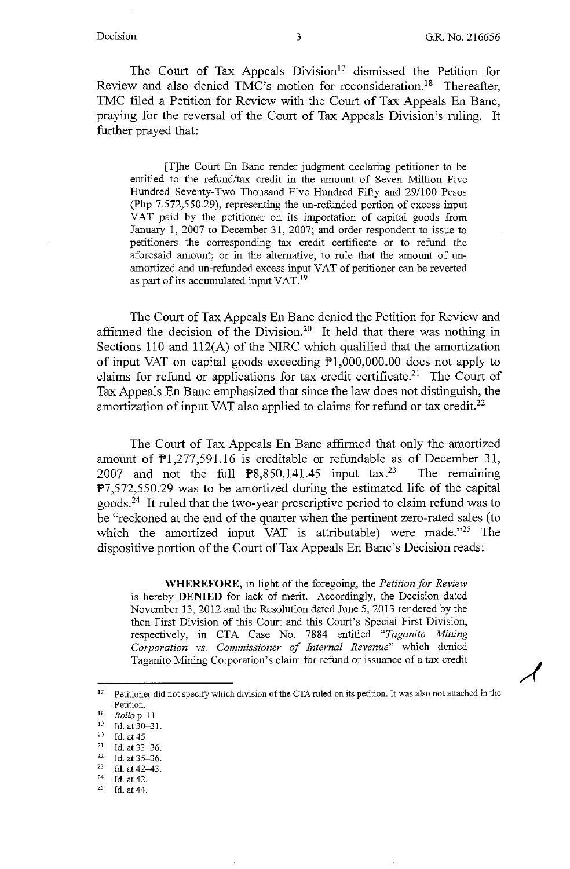The Court of Tax Appeals Division<sup>17</sup> dismissed the Petition for Review and also denied TMC's motion for reconsideration.<sup>18</sup> Thereafter, TMC filed a Petition for Review with the Court of Tax Appeals En Banc, praying for the reversal of the Court of Tax Appeals Division's ruling. It further prayed that:

[T]he Court En Banc render judgment declaring petitioner to be entitled to the refund/tax credit in the amount of Seven Million Five Hundred Seventy-Two Thousand Five Hundred Fifty and 29/100 Pesos (Php  $7,572,550.29$ ), representing the un-refunded portion of excess input VAT paid by the petitioner on its importation of capital goods from January 1, 2007 to December 31, 2007; and order respondent to issue to petitioners the corresponding tax credit certificate or to refund the aforesaid amount; or in the alternative, to rule that the amount of unamortized and un-refunded excess input VAT of petitioner can be reverted as part of its accumulated input VAT. <sup>19</sup>

The Court of Tax Appeals En Banc denied the Petition for Review and affirmed the decision of the Division.<sup>20</sup> It held that there was nothing in Sections 110 and 112(A) of the NIRC which qualified that the amortization of input VAT on capital goods exceeding  $\overline{P}1,000,000.00$  does not apply to claims for refund or applications for tax credit certificate.<sup>21</sup> The Court of Tax Appeals En Banc emphasized that since the law does not distinguish, the amortization of input VAT also applied to claims for refund or tax credit.<sup>22</sup>

The Court of Tax Appeals En Banc affirmed that only the amortized amount of  $\mathbb{P}1,277,591.16$  is creditable or refundable as of December 31, 2007 and not the full  $\mathbb{P}8,850,141.45$  input tax.<sup>23</sup> The remaining  $F7,572,550.29$  was to be amortized during the estimated life of the capital goods.24 It ruled that the two-year prescriptive period to claim refund was to be "reckoned at the end of the quarter when the pertinent zero-rated sales (to which the amortized input VAT is attributable) were made."<sup>25</sup> The dispositive portion of the Court of Tax Appeals En Bane's Decision reads:

**WHEREFORE,** in light of the foregoing, the *Petition for Review*  is hereby **DENIED** for lack of merit. Accordingly, the Decision dated November 13, 2012 and the Resolution dated June 5, 2013 rendered by the then First Division of this Court and this Court's Special First Division, respectively, in CTA Case No. 7884 entitled *"Taganito Mining Corporation vs. Commissioner of Internal Revenue"* which denied Taganito Mining Corporation's claim for refund or issuance of a tax credit

<sup>&</sup>lt;sup>17</sup> Petitioner did not specify which division of the CTA ruled on its petition. It was also not attached in the Petition. 18 *Rollo* p. 11 19 **Id. at 30-31.** 

<sup>20</sup> Id. at 45 21 **Id. at 33-36.** 

Id. at 35-36.

<sup>&</sup>lt;sup>23</sup> Id. at 42–43.<br><sup>24</sup> Id. at 42.<br><sup>25</sup> Id. at 44

Id. at 44.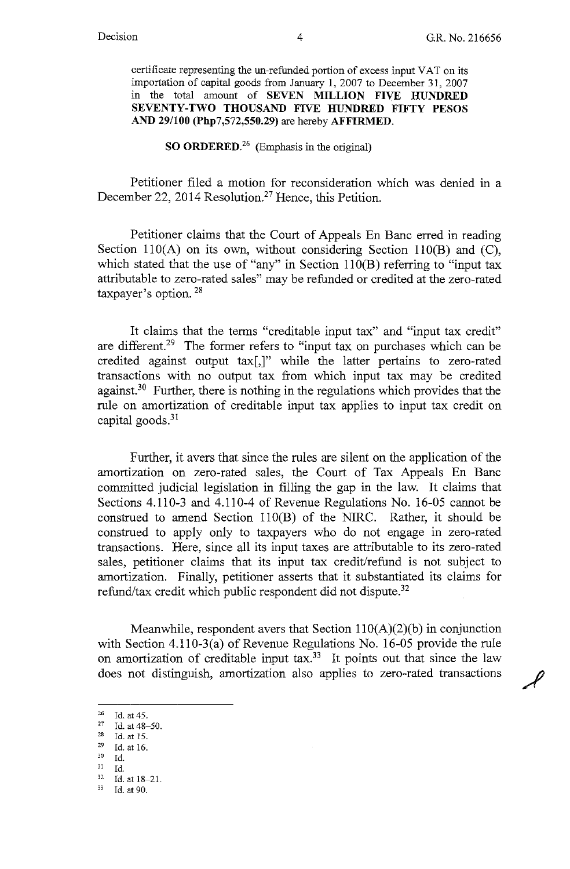certificate representing the un-refunded portion of excess input VAT on its importation of capital goods from January 1, 2007 to December 31, 2007 in the total amount of **SEVEN MILLION FIVE HUNDRED SEVENTY-TWO THOUSAND FIVE HUNDRED FIFTY PESOS AND 29/100 (Php7,572,550.29)** are hereby **AFFIRMED.** 

### **SO ORDERED.<sup>26</sup>**(Emphasis in the original)

Petitioner filed a motion for reconsideration which was denied in a December 22, 2014 Resolution.<sup>27</sup> Hence, this Petition.

Petitioner claims that the Court of Appeals En Banc erred in reading Section 110(A) on its own, without considering Section 110(B) and  $(C)$ , which stated that the use of "any" in Section  $110(B)$  referring to "input tax attributable to zero-rated sales" may be refunded or credited at the zero-rated taxpayer's option. 28

It claims that the terms "creditable input tax" and "input tax credit" are different.<sup>29</sup> The former refers to "input tax on purchases which can be credited against output tax[,]" while the latter pertains to zero-rated transactions with no output tax from which input tax may be credited against.<sup>30</sup> Further, there is nothing in the regulations which provides that the rule on amortization of creditable input tax applies to input tax credit on capital goods. $31$ 

Further, it avers that since the rules are silent on the application of the amortization on zero-rated sales, the Court of Tax Appeals En Banc committed judicial legislation in filling the gap in the law. It claims that Sections 4.110-3 and 4.110-4 of Revenue Regulations No. 16-05 cannot be construed to amend Section ll0(B) of the NIRC. Rather, it should be construed to apply only to taxpayers who do not engage in zero-rated transactions. Here, since all its input taxes are attributable to its zero-rated sales, petitioner claims that its input tax credit/refund is not subject to amortization. Finally, petitioner asserts that it substantiated its claims for refund/tax credit which public respondent did not dispute.<sup>32</sup>

Meanwhile, respondent avers that Section  $110(A)(2)(b)$  in conjunction with Section 4.110-3(a) of Revenue Regulations No. 16-05 provide the rule on amortization of creditable input tax.<sup>33</sup> It points out that since the law does not distinguish, amortization also applies to zero-rated transactions

- $^{29}$  Id. at 16. 30 Id.
- 

 $^{26}$  Id. at 45.<br> $^{27}$  Id. at 48.

<sup>&</sup>lt;sup>27</sup> Id. at 48-50.<br><sup>28</sup> Id. at 15.<br><sup>29</sup> Id. at 16.

<sup>31</sup> Id. 32 Id. at 18-21. 33 **Id. at 90.**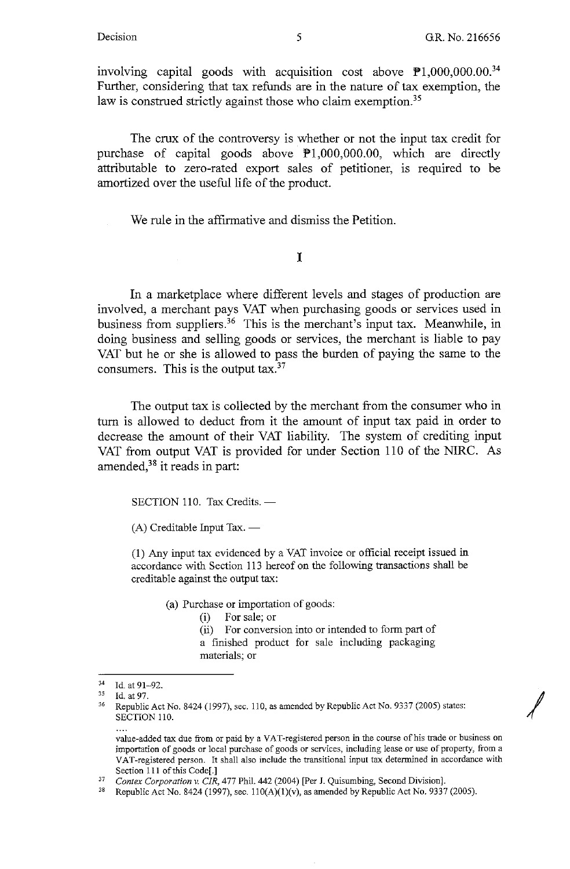*I* 

involving capital goods with acquisition cost above  $\mathbb{P}1,000,000.00^{34}$ Further, considering that tax refunds are in the nature of tax exemption, the law is construed strictly against those who claim exemption.<sup>35</sup>

The crux of the controversy is whether or not the input tax credit for purchase of capital goods above  $\mathbb{P}1,000,000.00$ , which are directly attributable to zero-rated export sales of petitioner, is required to be amortized over the useful life of the product.

We rule in the affirmative and dismiss the Petition.

## I

In a marketplace where different levels and stages of production are involved, a merchant pays VAT when purchasing goods or services used in business from suppliers.<sup>36</sup> This is the merchant's input tax. Meanwhile, in doing business and selling goods or services, the merchant is liable to pay VAT but he or she is allowed to pass the burden of paying the same to the consumers. This is the output tax.<sup>37</sup>

The output tax is collected by the merchant from the consumer who in turn is allowed to deduct from it the amount of input tax paid in order to decrease the amount of their VAT liability. The system of crediting input VAT from output VAT is provided for under Section 110 of the NIRC. As amended,<sup>38</sup> it reads in part:

SECTION 110. Tax Credits. -

 $(A)$  Creditable Input Tax.  $-$ 

(1) Any input tax evidenced by a VAT invoice or official receipt issued in accordance with Section 113 hereof on the following transactions shall be creditable against the output tax:

(a) Purchase or importation of goods:

(i) For sale; or

(ii) For conversion into or intended to form part of a finished product for sale including packaging materials; or

<sup>34</sup> Id. at 91-92.

 $^{35}$  Id. at 97.

Republic Act No. 8424 (1997), sec. 110, as amended by Republic Act No. 9337 (2005) states: SECTION 110.

value-added tax due from or paid by a VAT-registered person in the course of his trade or business on **importation of goods or local purchase of goods or services, including lease or use of property, from a**  VAT-registered person. It shall also include the transitional input tax determined in accordance with Section 111 of this Code[.]

<sup>37</sup> *Contex Corporation v. CIR,* 477 Phil. 442 (2004) [Per J. Quisumbing, Second Division].

<sup>&</sup>lt;sup>38</sup> Republic Act No. 8424 (1997), sec.  $110(A)(1)(v)$ , as amended by Republic Act No. 9337 (2005).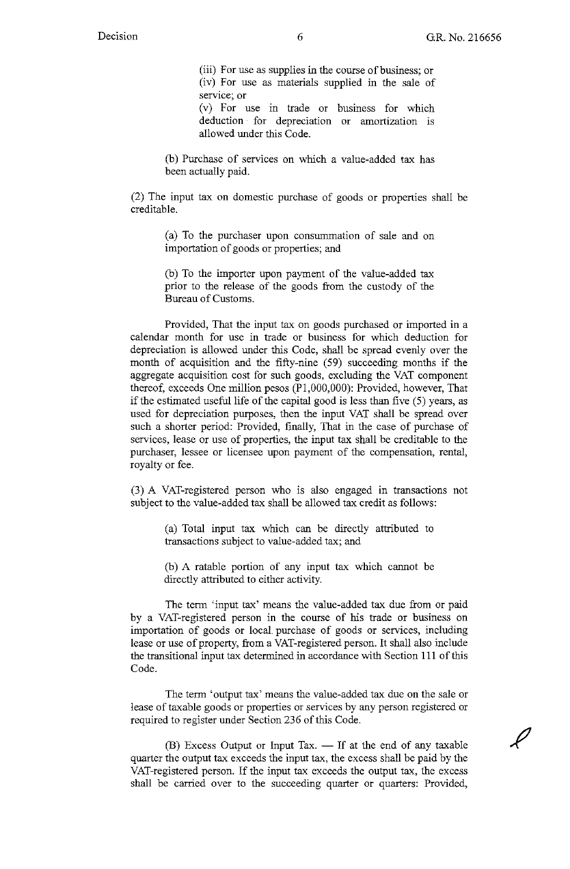$\overline{\ell}$ 

(iii) For use as supplies in the course of business; or (iv) For use as materials supplied in the sale of **service; or** 

(v) For use in trade or business for which deduction for depreciation or amortization is allowed under this Code.

(b) Purchase of services on which a value-added tax has been actually paid.

(2) The input tax on domestic purchase of goods or properties shall be creditable.

> (a) To the purchaser upon consummation of sale and on importation of goods or properties; and

> (b) To the importer upon payment of the value-added tax prior to the release of the goods from the custody of the Bureau of Customs.

Provided, That the input tax on goods purchased or imported in a calendar month for use in trade or business for which deduction for depreciation is allowed under this Code, shall be spread evenly over the month of acquisition and the fifty-nine (59) succeeding months if the aggregate acquisition cost for such goods, excluding the VAT component thereof, exceeds One million pesos (Pl,000,000): Provided, however, That if the estimated useful life of the capital good is less than five (5) years, as used for depreciation purposes, then the input VAT shall be spread over such a shorter period: Provided, finally, That in the case of purchase of services, lease or use of properties, the input tax shall be creditable to the purchaser, lessee or licensee upon payment of the compensation, rental, royalty or fee.

(3) A VAT-registered person who is also engaged in transactions not subject to the value-added tax shall be allowed tax credit as follows:

(a) Total input tax which can be directly attributed to transactions subject to value-added tax; and

(b) A ratable portion of any input tax which cannot be directly attributed to either activity.

The term 'input tax' means the value-added tax due from or paid by a VAT-registered person in the course of his trade or business on importation of goods or local. purchase of goods or services, including lease or use of property, from a VAT-registered person. It shall also include the transitional input tax determined in accordance with Section 111 of this Code.

The term 'output tax' means the value-added tax due on the sale or lease of taxable goods or properties or services by any person registered or required to register under Section 236 of this Code.

 $(B)$  Excess Output or Input Tax.  $-$  If at the end of any taxable quarter the output tax exceeds the input tax, the excess shall be paid by the VAT-registered person. If the input tax exceeds the output tax, the excess shall be carried over to the succeeding quarter or quarters: Provided,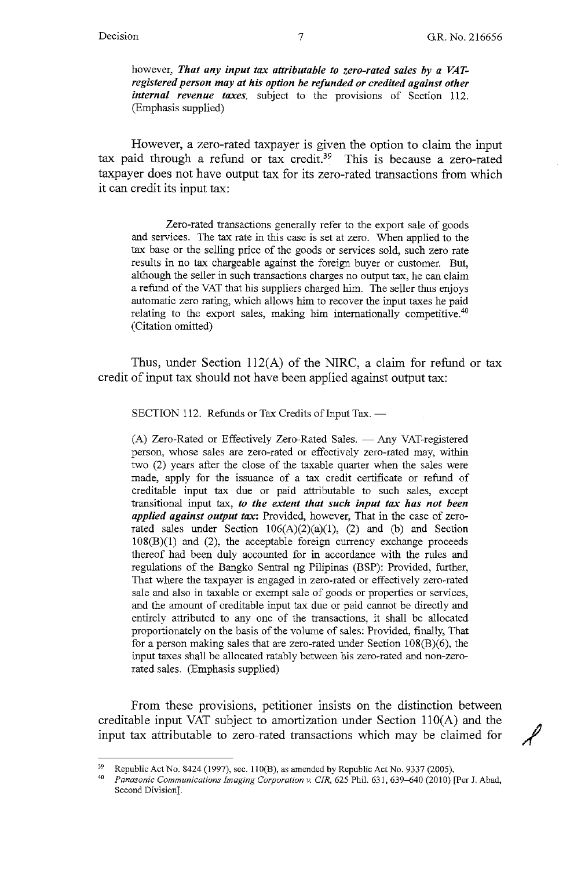however, *That any input tax attributable to zero-rated sales by a VATregistered person may at his option be refunded or credited against other internal revenue taxes,* subject to the provisions of Section 112. (Emphasis supplied)

However, a zero-rated taxpayer is given the option to claim the input tax paid through a refund or tax credit.<sup>39</sup> This is because a zero-rated taxpayer does not have output tax for its zero-rated transactions from which it can credit its input tax:

Zero-rated transactions generally refer to the export sale of goods and services. The tax rate in this case is set at zero. When applied to the tax base or the selling price of the goods or services sold, such zero rate results in no tax chargeable against the foreign buyer or customer. But, although the seller in such transactions charges no output tax, he can claim a refund of the VAT that his suppliers charged him. The seller thus enjoys automatic zero rating, which allows him to recover the input taxes he paid relating to the export sales, making him internationally competitive.<sup>40</sup> (Citation omitted)

Thus, under Section 112(A) of the NIRC, a claim for refund or tax credit of input tax should not have been applied against output tax:

SECTION 112. Refunds or Tax Credits of Input Tax. -

(A) Zero-Rated or Effectively Zero-Rated Sales. - Any VAT-registered person, whose sales are zero-rated or effectively zero-rated may, within two (2) years after the close of the taxable quarter when the sales were made, apply for the issuance of a tax credit certificate or refund of creditable input tax due or paid attributable to such sales, except transitional input tax, *to the extent that such input tax has not been applied against output tax:* Provided, however, That in the case of zerorated sales under Section  $106(A)(2)(a)(1)$ , (2) and (b) and Section  $108(B)(1)$  and  $(2)$ , the acceptable foreign currency exchange proceeds thereof had been duly accounted for in accordance with the rules and regulations of the Bangko Sentral ng Pilipinas (BSP): Provided, further, That where the taxpayer is engaged in zero-rated or effectively zero-rated sale and also in taxable or exempt sale of goods or properties or services, and the amount of creditable input tax due or paid cannot be directly and entirely attributed to any one of the transactions, it shall be allocated proportionately on the basis of the volume of sales: Provided, finally, That for a person making sales that are zero-rated under Section 108(B)(6), the input taxes shall be allocated ratably between his zero-rated and non-zerorated sales. (Emphasis supplied)

From these provisions, petitioner insists on the distinction between creditable input VAT subject to amortization under Section  $110(A)$  and the input tax attributable to zero-rated transactions which may be claimed for /

<sup>&</sup>lt;sup>39</sup> Republic Act No. 8424 (1997), sec. 110(B), as amended by Republic Act No. 9337 (2005).<br><sup>40</sup> *Panasonic Communications Imaging Corporation v. CIR, 6*25 Phil. 631, 639–640 (2010) [Per J. Abad, Second Division].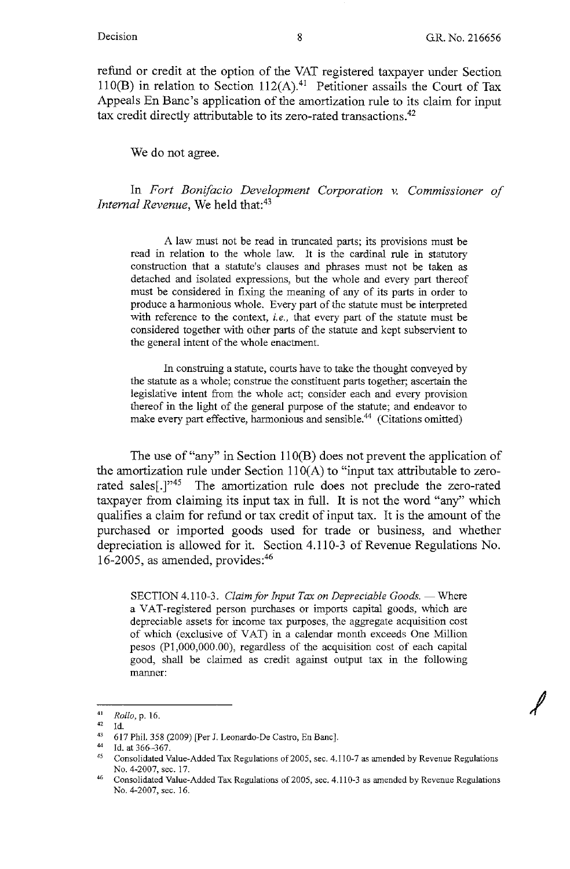*I* 

refund or credit at the option of the VAT registered taxpayer under Section 110(B) in relation to Section 112(A).<sup>41</sup> Petitioner assails the Court of Tax Appeals En Bane's application of the amortization rule to its claim for input tax credit directly attributable to its zero-rated transactions.42

We do not agree.

In *Fort Bonifacio Development Corporation v. Commissioner of Internal Revenue,* We held that:<sup>43</sup>

A law must not be read in truncated parts; its provisions must be read in relation to the whole law. It is the cardinal rule in statutory construction that a statute's clauses and phrases must not be taken as detached and isolated expressions, but the whole and every part thereof must be considered in fixing the meaning of any of its parts in order to produce a harmonious whole. Every part of the statute must be interpreted with reference to the context, *i.e.,* that every part of the statute must be considered together with other parts of the statute and kept subservient to the general intent of the whole enactment.

In construing a statute, courts have to take the thought conveyed by the statute as a whole; construe the constituent parts together; ascertain the legislative intent from the whole act; consider each and every provision thereof in the light of the general purpose of the statute; and endeavor to make every part effective, harmonious and sensible.<sup>44</sup> (Citations omitted)

The use of "any" in Section 110(B) does not prevent the application of the amortization rule under Section  $110(A)$  to "input tax attributable to zerorated sales<sup>[1]"45</sup> The amortization rule does not preclude the zero-rated taxpayer from claiming its input tax in full. It is not the word "any" which qualifies a claim for refund or tax credit of input tax. It is the amount of the purchased or imported goods used for trade or business, and whether depreciation is allowed for it. Section 4.110-3 of Revenue Regulations No. 16-2005, as amended, provides:<sup>46</sup>

SECTION 4.110-3. *Claim for Input Tax on Depreciable Goods.* - Where a VAT-registered person purchases or imports capital goods, which are depreciable assets for income tax purposes, the aggregate acquisition cost of which (exclusive of VAT) in a calendar month exceeds One Million pesos (Pl,000,000.00), regardless of the acquisition cost of each capital good, shall be claimed as credit against output tax in the following manner:

 $Rollo$ , p. 16.<br><sup>42</sup> Id

<sup>42</sup> Id.

<sup>43 617</sup> Phil. 358 (2009) [Per J. Leonardo-De Castro, En Banc].

<sup>44</sup> Id. at 366-367.

<sup>45</sup> Consolidated Value-Added Tax Regulations of 2005, sec. 4.110-7 as amended by Revenue Regulations No. 4-2007, sec. 17.<br>46 Consolidated Value-Added Tax Regulations of 2005, sec. 4.110-3 as amended by Revenue Regulations

No. 4-2007, sec. 16.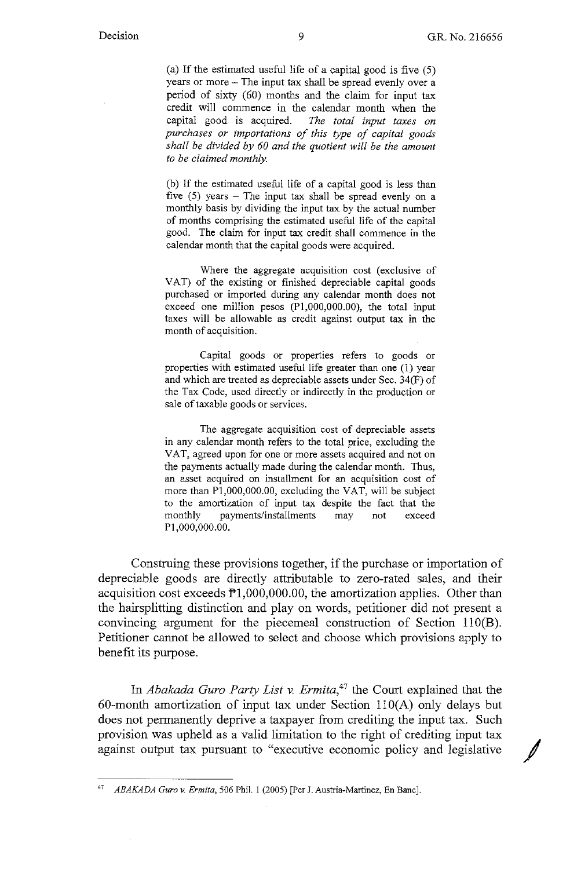(a) If the estimated useful life of a capital good is five (5) years or more - The input tax shall be spread evenly over a period of sixty (60) months and the claim for input tax credit will commence in the calendar month when the capital good is acquired. *The total input taxes on purchases or importations of this type of capital goods shall be divided by 60 and the quotient will be the amount to be claimed monthly.* 

(b) If the estimated useful life of a capital good is less than five  $(5)$  years - The input tax shall be spread evenly on a monthly basis by dividing the input tax by the actual number of months comprising the estimated useful life of the capital good. The claim for input tax credit shall commence in the calendar month that the capital goods were acquired.

Where the aggregate acquisition cost (exclusive of VAT) of the existing or finished depreciable capital goods purchased or imported during any calendar month does not exceed one million pesos  $(P1,000,000,00)$ , the total input taxes will be allowable as credit against output tax in the month of acquisition.

Capital goods or properties refers to goods or properties with estimated useful life greater than one (1) year and which are treated as depreciable assets under Sec. 34(F) of the Tax Code, used directly or indirectly in the production or sale of taxable goods or services.

The aggregate acquisition cost of depreciable assets in any calendar month refers to the total price, excluding the VAT, agreed upon for one or more assets acquired and not on the payments actually made during the calendar month. Thus, an asset acquired on installment for an acquisition cost of more than Pl,000,000.00, excluding the VAT, will be subject to the amortization of input tax despite the fact that the monthly payments/installments may not exceed Pl,000,000.00.

Construing these provisions together, if the purchase or importation of depreciable goods are directly attributable to zero-rated sales, and their acquisition cost exceeds  $\mathbb{P}1,000,000.00$ , the amortization applies. Other than the hairsplitting distinction and play on words, petitioner did not present a convincing argument for the piecemeal construction of Section 110(B). Petitioner cannot be allowed to select and choose which provisions apply to benefit its purpose.

In *Abakada Gura Party List v. Ermita,47* the Court explained that the 60-month amortization of input tax under Section  $110(A)$  only delays but does not permanently deprive a taxpayer from crediting the input tax. Such provision was upheld as a valid limitation to the right of crediting input tax against output tax pursuant to "executive economic policy and legislative /

<sup>47</sup> *ABAKADA Gura v. Ermita,* 506 Phil. I (2005) [Per J. Austria-Martinez, En Banc].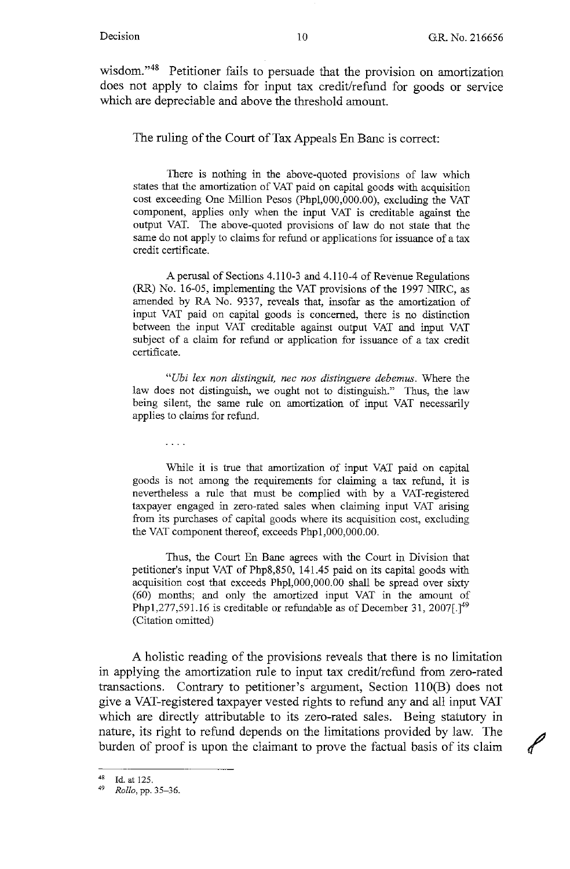wisdom."48 Petitioner fails to persuade that the provision on amortization does not apply to claims for input tax credit/refund for goods or service which are depreciable and above the threshold amount.

The ruling of the Court of Tax Appeals En Banc is correct:

There is nothing in the above-quoted provisions of law which states that the amortization of VAT paid on capital goods with acquisition cost exceeding One Million Pesos (Phpl,000,000.00), excluding the VAT component, applies only when the input VAT is creditable against the output VAT. The above-quoted provisions of law do not state that the same do not apply to claims for refund or applications for issuance of a tax credit certificate.

A perusal of Sections 4.110-3 and 4.110-4 of Revenue Regulations (RR) No. 16-05, implementing the VAT provisions of the 1997 NIRC, as amended by RA No. 9337, reveals that, insofar as the amortization of input VAT paid on capital goods is concerned, there is no distinction between the input VAT creditable against output VAT and input VAT subject of a claim for refund or application for issuance of a tax credit certificate.

*"Ubi lex non distinguit, nee nos distinguere debemus.* Where the law does not distinguish, we ought not to distinguish." Thus, the law being silent, the same rule on amortization of input VAT necessarily applies to claims for refund.

 $\cdots$ 

While it is true that amortization of input VAT paid on capital goods is not among the requirements for claiming a tax refund, it is nevertheless a rule that must be complied with by a VAT-registered taxpayer engaged in zero-rated sales when claiming input VAT arising from its purchases of capital goods where its acquisition cost, excluding the VAT component thereof, exceeds Phpl,000,000.00.

Thus, the Court En Bane agrees with the Court in Division that petitioner's input VAT of Php8,850, 141.45 paid on its capital goods with acquisition cost that exceeds Phpl,000,000.00 shall be spread over sixty (60) months; and only the amortized input VAT in the amount of Php1,277,591.16 is creditable or refundable as of December 31, 2007 $[.]^{49}$ (Citation omitted)

A holistic reading of the provisions reveals that there is no limitation in applying the amortization rule to input tax credit/refund from zero-rated transactions. Contrary to petitioner's argument, Section 110(B) does not give a VAT-registered taxpayer vested rights to refund any and all input VAT which are directly attributable to its zero-rated sales. Being statutory in nature, its right to refund depends on the limitations provided by law. The burden of proof is upon the claimant to prove the factual basis of its claim

<sup>48</sup> Id. at 125. 49 *Rollo,* pp. 35-36.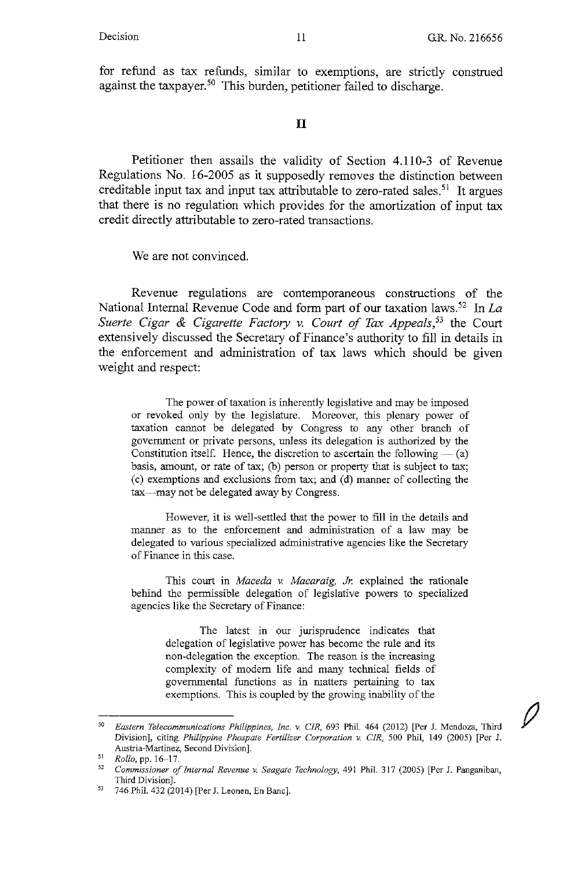for refund as tax refunds, similar to exemptions, are strictly construed against the taxpayer.<sup>50</sup> This burden, petitioner failed to discharge.

### II

Petitioner then assails the validity of Section 4.110-3 of Revenue Regulations No. 16-2005 as it supposedly removes the distinction between creditable input tax and input tax attributable to zero-rated sales.<sup>51</sup> It argues that there is no regulation which provides for the amortization of input tax credit directly attributable to zero-rated transactions.

We are not convinced.

Revenue regulations are contemporaneous constructions of the National Internal Revenue Code and form part of our taxation laws.52 In *La Suerte Cigar & Cigarette Factory v. Court of Tax Appeals,53* the Court extensively discussed the Secretary of Finance's authority to fill in details in the enforcement and administration of tax laws which should be given weight and respect:

The power of taxation is inherently legislative and may be imposed or revoked only by the legislature. Moreover, this plenary power of taxation cannot be delegated by Congress to any other branch of government or private persons, unless its delegation is authorized by the Constitution itself. Hence, the discretion to ascertain the following  $-$  (a) basis, amount, or rate of tax; (b) person or property that is subject to tax; ( c) exemptions and exclusions from tax; and ( d) manner of collecting the tax—may not be delegated away by Congress.

However, it is well-settled that the power to fill in the details and manner as to the enforcement and administration of a law may be delegated to various specialized administrative agencies like the Secretary of Finance in this case.

This court in *Maceda* v. *Macaraig, Jr.* explained the rationale behind the permissible delegation of legislative powers to specialized agencies like the Secretary of Finance:

> The latest in our jurisprudence indicates that delegation of legislative power has become the rule and its non-delegation the exception. The reason is the increasing complexity of modem life and many technical fields of governmental functions as in matters pertaining to tax exemptions. This is coupled by the growing inability of the

<sup>50</sup>*Eastern Telecommunications Philippines, Inc.* v *CIR,* 693 Phil. 464 (2012) [Per J. Mendoza, Third Division], citing *Philippine Phospate Fertilizer Corporation* v *CIR,* 500 Phil, 149 (2005) [Per J. **Austria-Martinez, Second Division].** 

 $51$  Rollo, pp. 16-17.

<sup>&</sup>lt;sup>52</sup> Commissioner of Internal Revenue v. Seagate Technology, 491 Phil. 317 (2005) [Per J. Panganiban, Third Division].

<sup>53</sup> 746 Phil. 432 (2014) [Per J. Leanen, En Banc].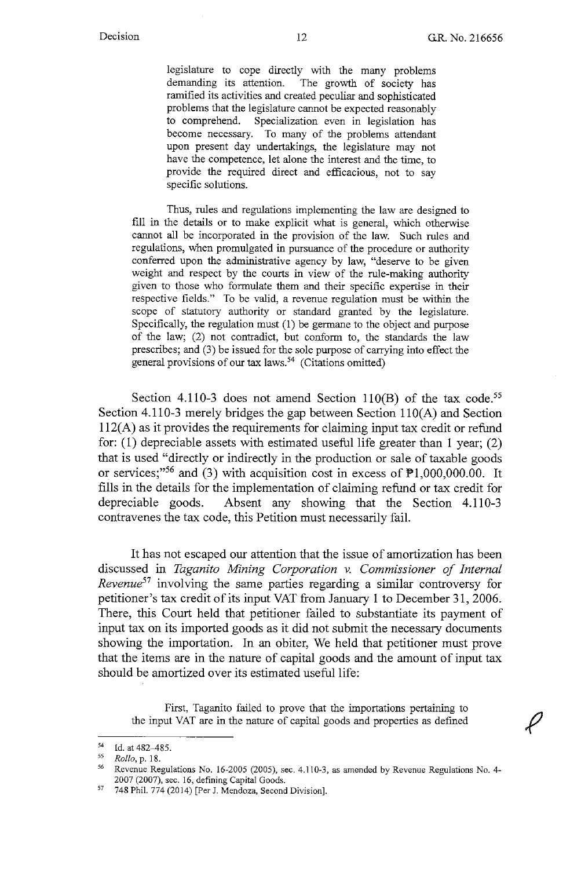legislature to cope directly with the many problems demanding its attention. The growth of society has ramified its activities and created peculiar and sophisticated problems that the legislature cannot be expected reasonably to comprehend. Specialization even in legislation has become necessary. To many of the problems attendant upon present day undertakings, the legislature may not have the competence, let alone the interest and the time, to provide the required direct and efficacious, not to say specific solutions.

Thus, rules and regulations implementing the law are designed to fill in the details or to make explicit what is general, which otherwise cannot all be incorporated in the provision of the law. Such rules and regulations, when promulgated in pursuance of the procedure or authority conferred upon the administrative agency by law, "deserve to be given weight and respect by the courts in view of the rule-making authority given to those who formulate them and their specific expertise in their respective fields." To be valid, a revenue regulation must be within the scope of statutory authority or standard granted by the legislature. Specifically, the regulation must (1) be germane to the object and purpose of the law; (2) not contradict, but conform to, the standards the law prescribes; and (3) be issued for the sole purpose of carrying into effect the general provisions of our tax laws.<sup>54</sup> (Citations omitted)

Section 4.110-3 does not amend Section 110(B) of the tax code.<sup>55</sup> Section 4.110-3 merely bridges the gap between Section  $110(A)$  and Section l 12(A) as it provides the requirements for claiming input tax credit or refund for: (1) depreciable assets with estimated useful life greater than 1 year; (2) that is used "directly or indirectly in the production or sale of taxable goods or services;"<sup>56</sup> and (3) with acquisition cost in excess of  $\overline{P}1,000,000.00$ . It fills in the details for the implementation of claiming refund or tax credit for depreciable goods. Absent any showing that the Section 4.110-3 contravenes the tax code, this Petition must necessarily fail.

It has not escaped our attention that the issue of amortization has been discussed in *Taganito Mining Corporation v. Commissioner of Internal Revenue57* involving the same parties regarding a similar controversy for petitioner's tax credit of its input VAT from January 1 to December 31, 2006. There, this Court held that petitioner failed to substantiate its payment of input tax on its imported goods as it did not submit the necessary documents showing the importation. In an obiter, We held that petitioner must prove that the items are in the nature of capital goods and the amount of input tax should be amortized over its estimated useful life:

First, Taganito failed to prove that the importations pertaining to the input VAT are in the nature of capital goods and properties as defined

<sup>&</sup>lt;sup>54</sup> Id. at 482–485.<br><sup>55</sup> *Rollo*, p. 18.<br><sup>56</sup> Revenue Regulations No. 16-2005 (2005), sec. 4.110-3, as amended by Revenue Regulations No. 4-2007 (2007), sec. 16, defining Capital Goods.

<sup>57</sup> 748 Phil. 774 (2014) [Per J. Mendoza, Second Division].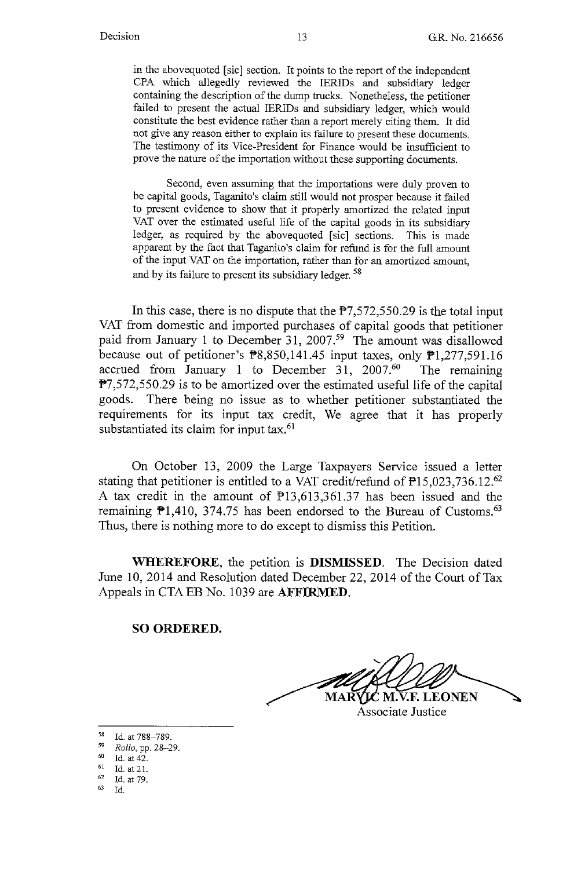in the abovequoted [sic] section. It points to the report of the independent CPA which allegedly reviewed the IERIDs and subsidiary ledger containing the description of the dump trucks. Nonetheless, the petitioner failed to present the actual IERIDs and subsidiary ledger, which would constitute the best evidence rather than a report merely citing them. It did not give any reason either to explain its failure to present these documents. The testimony of its Vice-President for Finance would be insufficient to prove the nature of the importation without these supporting documents.

Second, even assuming that the importations were duly proven to be capital goods, Taganito's claim still would not prosper because it failed to present evidence to show that it properly amortized the related input VAT over the estimated useful life of the capital goods in its subsidiary ledger, as required by the abovequoted [sic] sections. This is made apparent by the fact that Taganito's claim for refund is for the full amount of the input VAT on the importation, rather than for an amortized amount, and by its failure to present its subsidiary ledger. <sup>58</sup>

In this case, there is no dispute that the  $P7,572,550.29$  is the total input VAT from domestic and imported purchases of capital goods that petitioner paid from January 1 to December 31, 2007.<sup>59</sup> The amount was disallowed because out of petitioner's PS,850,141.45 input taxes, only Pl,277,591.16 accrued from January 1 to December 31,  $2007<sup>60</sup>$  The remaining  $P7,572,550.29$  is to be amortized over the estimated useful life of the capital goods. There being no issue as to whether petitioner substantiated the requirements for its input tax credit, We agree that it has properly substantiated its claim for input tax.<sup>61</sup>

On October 13, 2009 the Large Taxpayers Service issued a letter stating that petitioner is entitled to a VAT credit/refund of  $\mathbb{P}15,023,736.12$ .<sup>62</sup> A tax credit in the amount of P13,613,361.37 has been issued and the remaining  $\mathbb{P}1,410, 374.75$  has been endorsed to the Bureau of Customs.<sup>63</sup> Thus, there is nothing more to do except to dismiss this Petition.

**WHEREFORE,** the petition is **DISMISSED.** The Decision dated June 10, 2014 and Resolution dated December 22, 2014 of the Court of Tax Appeals in CTAEB No. 1039 are **AFFIRMED.** 

#### **SO ORDERED.**

**F. LEONEN** Associate Justice

58 Id. at 788-789.

<sup>59</sup> *Rollo, pp.* 28–29.<br>
60 Id. at 42.<br>
61 Id. at 21.<br>
62 Id. at 79.

 $62$  Id. at 79.<br> $63$  Id.